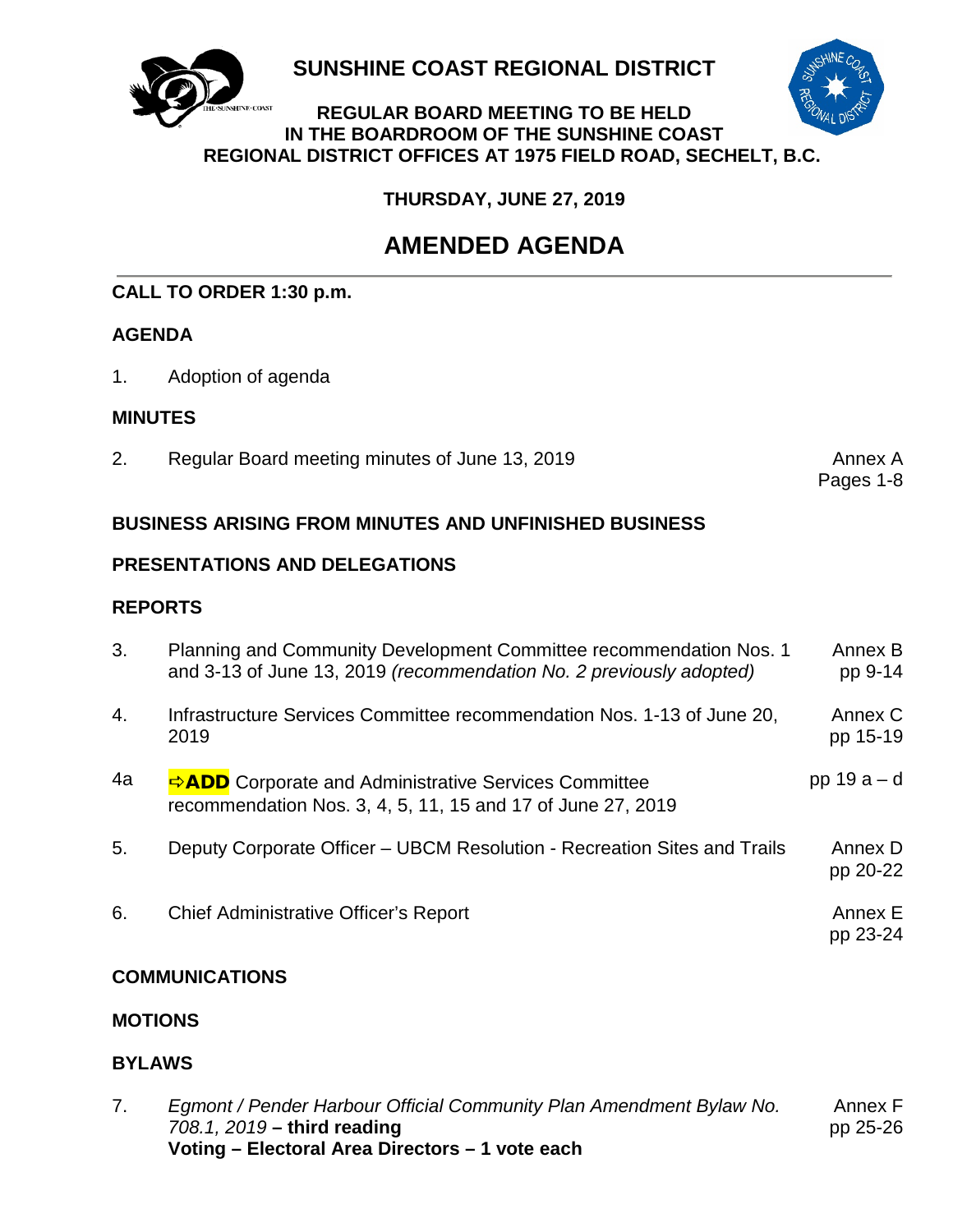

**SUNSHINE COAST REGIONAL DISTRICT**



**REGULAR BOARD MEETING TO BE HELD IN THE BOARDROOM OF THE SUNSHINE COAST REGIONAL DISTRICT OFFICES AT 1975 FIELD ROAD, SECHELT, B.C.**

**THURSDAY, JUNE 27, 2019**

# **AMENDED AGENDA**

# **CALL TO ORDER 1:30 p.m.**

# **AGENDA**

1. Adoption of agenda

## **MINUTES**

2. Regular Board meeting minutes of June 13, 2019 **Annex A** 

Pages 1-8

## **BUSINESS ARISING FROM MINUTES AND UNFINISHED BUSINESS**

# **PRESENTATIONS AND DELEGATIONS**

# **REPORTS**

| 3. | Planning and Community Development Committee recommendation Nos. 1<br>and 3-13 of June 13, 2019 (recommendation No. 2 previously adopted) | Annex B<br>pp 9-14  |
|----|-------------------------------------------------------------------------------------------------------------------------------------------|---------------------|
| 4. | Infrastructure Services Committee recommendation Nos. 1-13 of June 20,<br>2019                                                            | Annex C<br>pp 15-19 |
| 4a | <b>ADD</b> Corporate and Administrative Services Committee<br>recommendation Nos. 3, 4, 5, 11, 15 and 17 of June 27, 2019                 | pp $19a-d$          |
| 5. | Deputy Corporate Officer – UBCM Resolution - Recreation Sites and Trails                                                                  | Annex D<br>pp 20-22 |
| 6. | Chief Administrative Officer's Report                                                                                                     | Annex E<br>pp 23-24 |

# **COMMUNICATIONS**

# **MOTIONS**

# **BYLAWS**

| Egmont / Pender Harbour Official Community Plan Amendment Bylaw No. | Annex F  |
|---------------------------------------------------------------------|----------|
| 708.1, 2019 – third reading                                         | pp 25-26 |
| Voting – Electoral Area Directors – 1 vote each                     |          |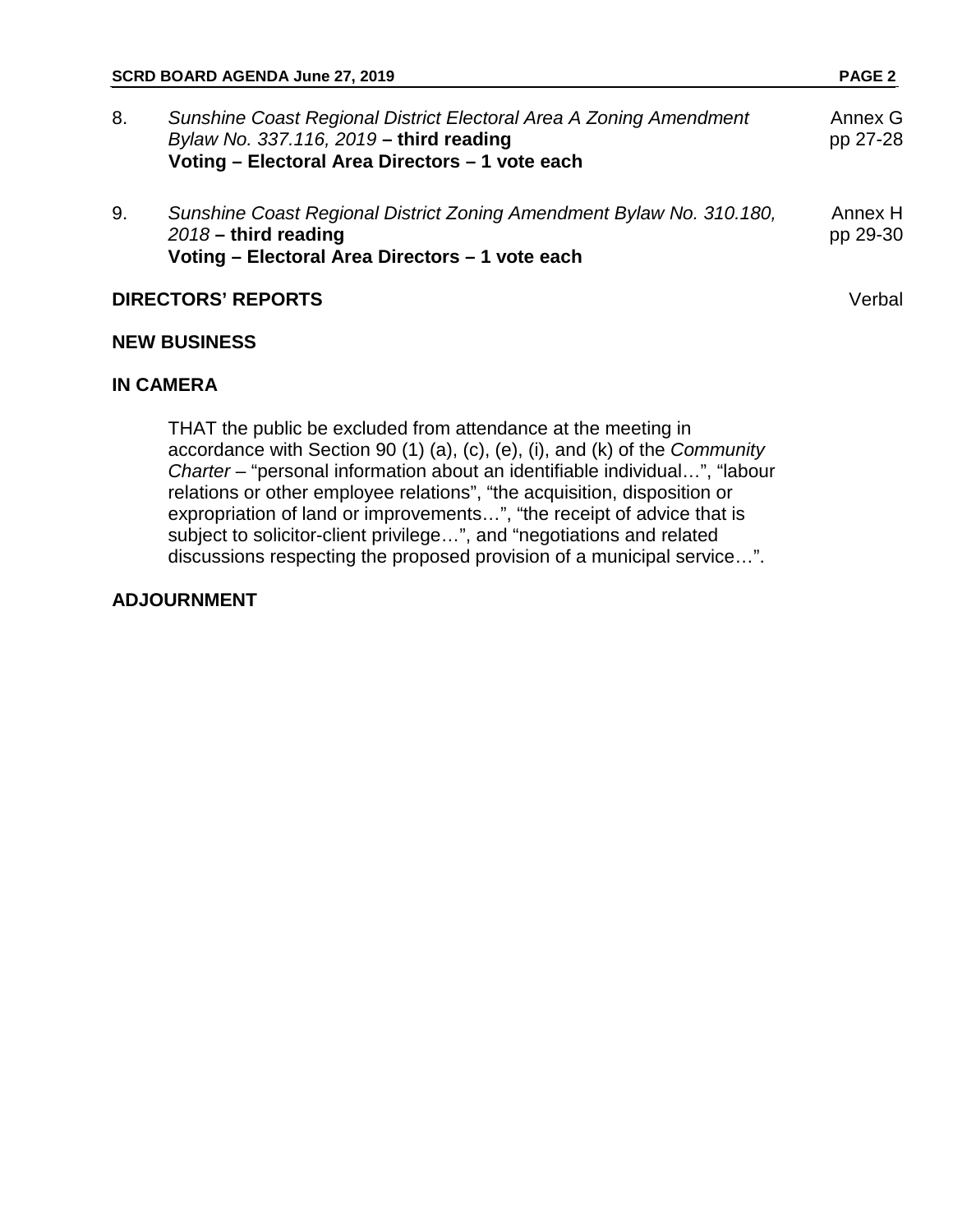| SCRD BOARD AGENDA June 27, 2019 |                                                                                                                                                                  | <b>PAGE 2</b>       |
|---------------------------------|------------------------------------------------------------------------------------------------------------------------------------------------------------------|---------------------|
| 8.                              | Sunshine Coast Regional District Electoral Area A Zoning Amendment<br>Bylaw No. 337.116, 2019 - third reading<br>Voting - Electoral Area Directors - 1 vote each | Annex G<br>pp 27-28 |
| 9.                              | Sunshine Coast Regional District Zoning Amendment Bylaw No. 310.180,<br>$2018 -$ third reading<br>Voting - Electoral Area Directors - 1 vote each                | Annex H<br>pp 29-30 |
|                                 | <b>DIRECTORS' REPORTS</b>                                                                                                                                        | Verbal              |

# **NEW BUSINESS**

### **IN CAMERA**

THAT the public be excluded from attendance at the meeting in accordance with Section 90 (1) (a), (c), (e), (i), and (k) of the *Community Charter* – "personal information about an identifiable individual…", "labour relations or other employee relations", "the acquisition, disposition or expropriation of land or improvements…", "the receipt of advice that is subject to solicitor-client privilege…", and "negotiations and related discussions respecting the proposed provision of a municipal service…".

#### **ADJOURNMENT**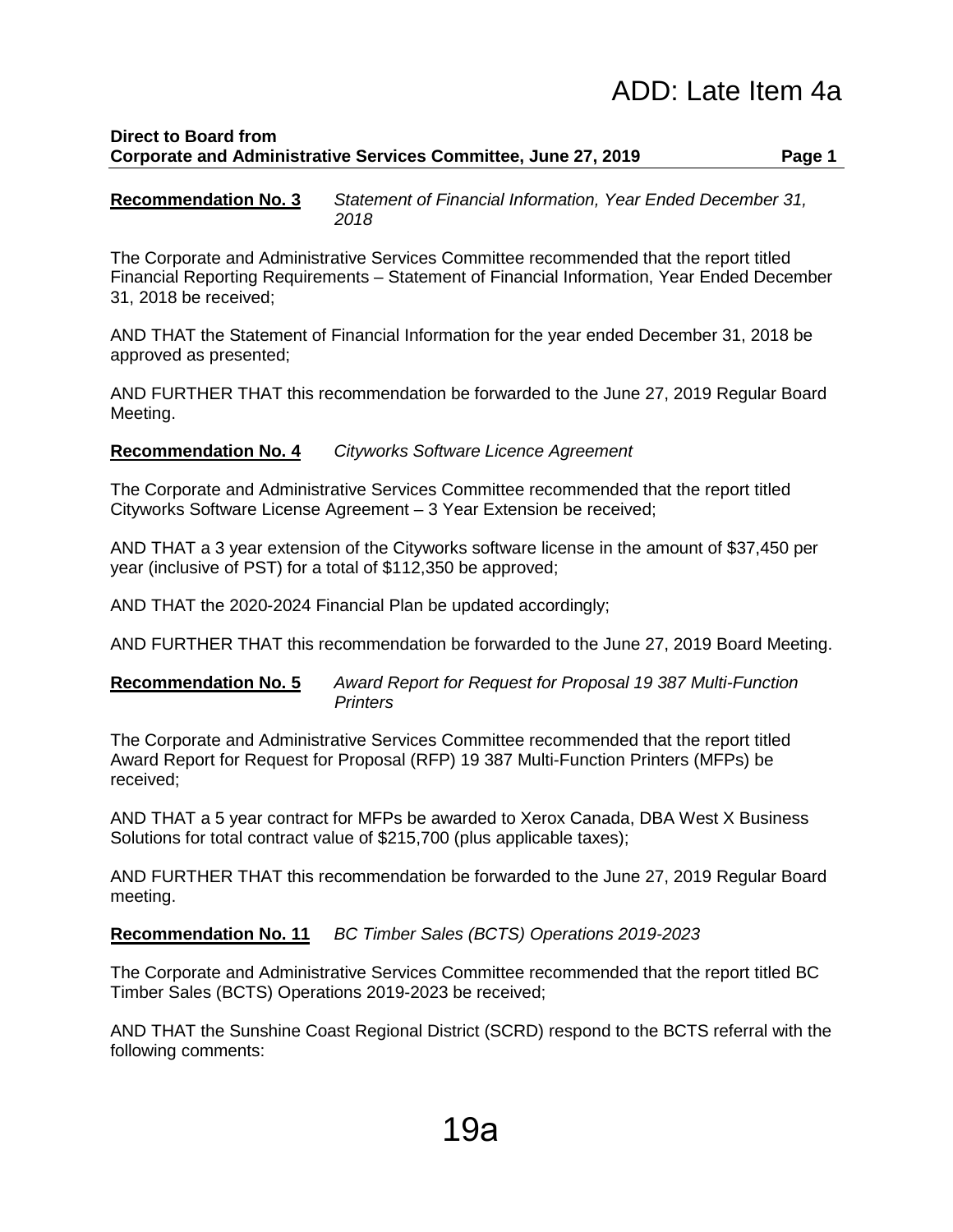# ADD: Late Item 4a

### **Direct to Board from Corporate and Administrative Services Committee, June 27, 2019 Page 1**

**Recommendation No. 3** *Statement of Financial Information, Year Ended December 31, 2018*

The Corporate and Administrative Services Committee recommended that the report titled Financial Reporting Requirements – Statement of Financial Information, Year Ended December 31, 2018 be received;

AND THAT the Statement of Financial Information for the year ended December 31, 2018 be approved as presented;

AND FURTHER THAT this recommendation be forwarded to the June 27, 2019 Regular Board Meeting.

**Recommendation No. 4** *Cityworks Software Licence Agreement*

The Corporate and Administrative Services Committee recommended that the report titled Cityworks Software License Agreement – 3 Year Extension be received;

AND THAT a 3 year extension of the Cityworks software license in the amount of \$37,450 per year (inclusive of PST) for a total of \$112,350 be approved;

AND THAT the 2020-2024 Financial Plan be updated accordingly;

AND FURTHER THAT this recommendation be forwarded to the June 27, 2019 Board Meeting.

#### **Recommendation No. 5** *Award Report for Request for Proposal 19 387 Multi-Function Printers*

The Corporate and Administrative Services Committee recommended that the report titled Award Report for Request for Proposal (RFP) 19 387 Multi-Function Printers (MFPs) be received;

AND THAT a 5 year contract for MFPs be awarded to Xerox Canada, DBA West X Business Solutions for total contract value of \$215,700 (plus applicable taxes);

AND FURTHER THAT this recommendation be forwarded to the June 27, 2019 Regular Board meeting.

**Recommendation No. 11** *BC Timber Sales (BCTS) Operations 2019-2023*

The Corporate and Administrative Services Committee recommended that the report titled BC Timber Sales (BCTS) Operations 2019-2023 be received;

AND THAT the Sunshine Coast Regional District (SCRD) respond to the BCTS referral with the following comments: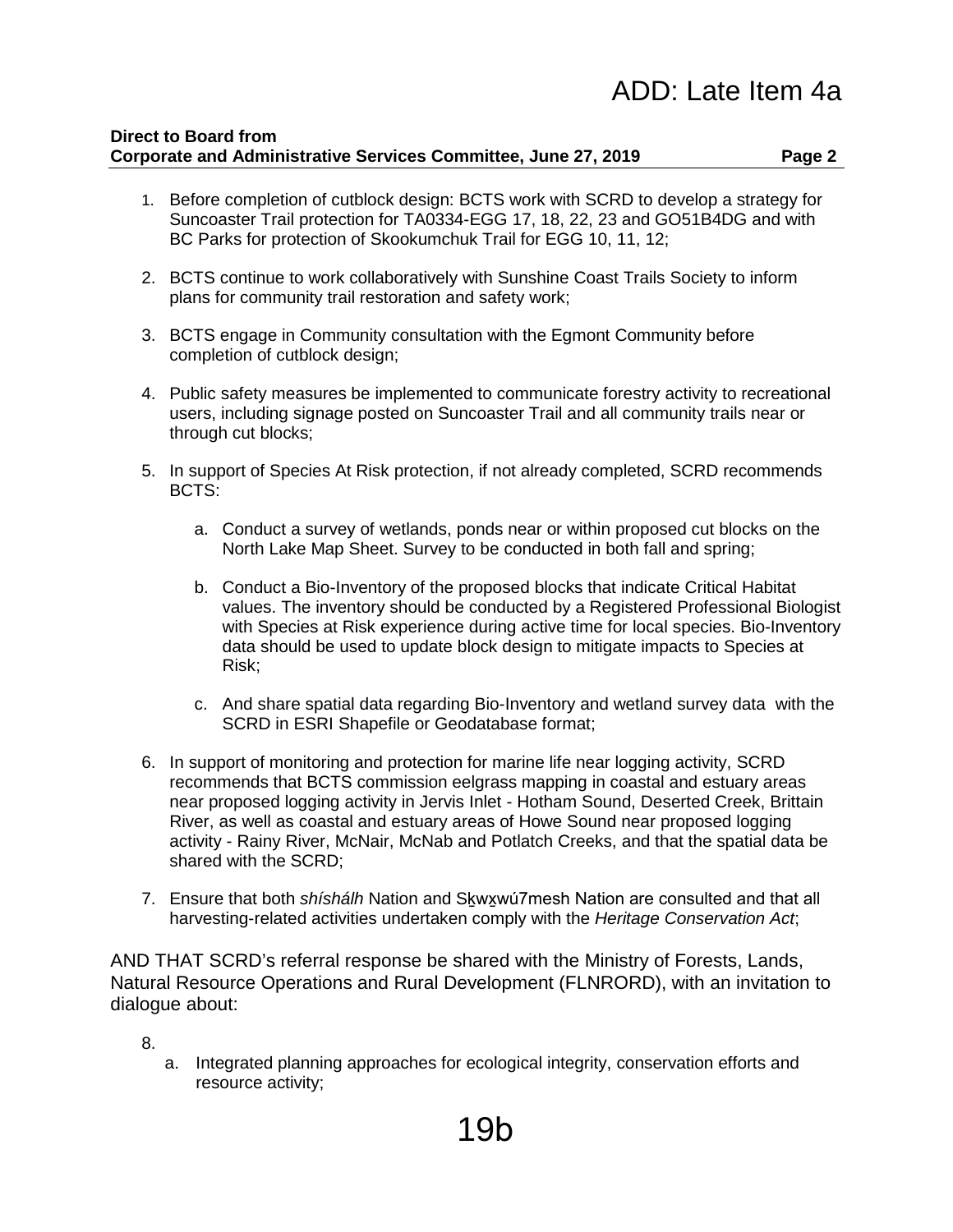# ADD: Late Item 4a

#### **Direct to Board from Corporate and Administrative Services Committee, June 27, 2019 Page 2**

- 1. Before completion of cutblock design: BCTS work with SCRD to develop a strategy for Suncoaster Trail protection for TA0334-EGG 17, 18, 22, 23 and GO51B4DG and with BC Parks for protection of Skookumchuk Trail for EGG 10, 11, 12;
- 2. BCTS continue to work collaboratively with Sunshine Coast Trails Society to inform plans for community trail restoration and safety work;
- 3. BCTS engage in Community consultation with the Egmont Community before completion of cutblock design;
- 4. Public safety measures be implemented to communicate forestry activity to recreational users, including signage posted on Suncoaster Trail and all community trails near or through cut blocks;
- 5. In support of Species At Risk protection, if not already completed, SCRD recommends BCTS:
	- a. Conduct a survey of wetlands, ponds near or within proposed cut blocks on the North Lake Map Sheet. Survey to be conducted in both fall and spring;
	- b. Conduct a Bio-Inventory of the proposed blocks that indicate Critical Habitat values. The inventory should be conducted by a Registered Professional Biologist with Species at Risk experience during active time for local species. Bio-Inventory data should be used to update block design to mitigate impacts to Species at Risk;
	- c. And share spatial data regarding Bio-Inventory and wetland survey data with the SCRD in ESRI Shapefile or Geodatabase format;
- 6. In support of monitoring and protection for marine life near logging activity, SCRD recommends that BCTS commission eelgrass mapping in coastal and estuary areas near proposed logging activity in Jervis Inlet - Hotham Sound, Deserted Creek, Brittain River, as well as coastal and estuary areas of Howe Sound near proposed logging activity - Rainy River, McNair, McNab and Potlatch Creeks, and that the spatial data be shared with the SCRD;
- 7. Ensure that both *shíshálh* Nation and Sḵwx̱wú7mesh Nation are consulted and that all harvesting-related activities undertaken comply with the *Heritage Conservation Act*;

AND THAT SCRD's referral response be shared with the Ministry of Forests, Lands, Natural Resource Operations and Rural Development (FLNRORD), with an invitation to dialogue about:

8.

a. Integrated planning approaches for ecological integrity, conservation efforts and resource activity;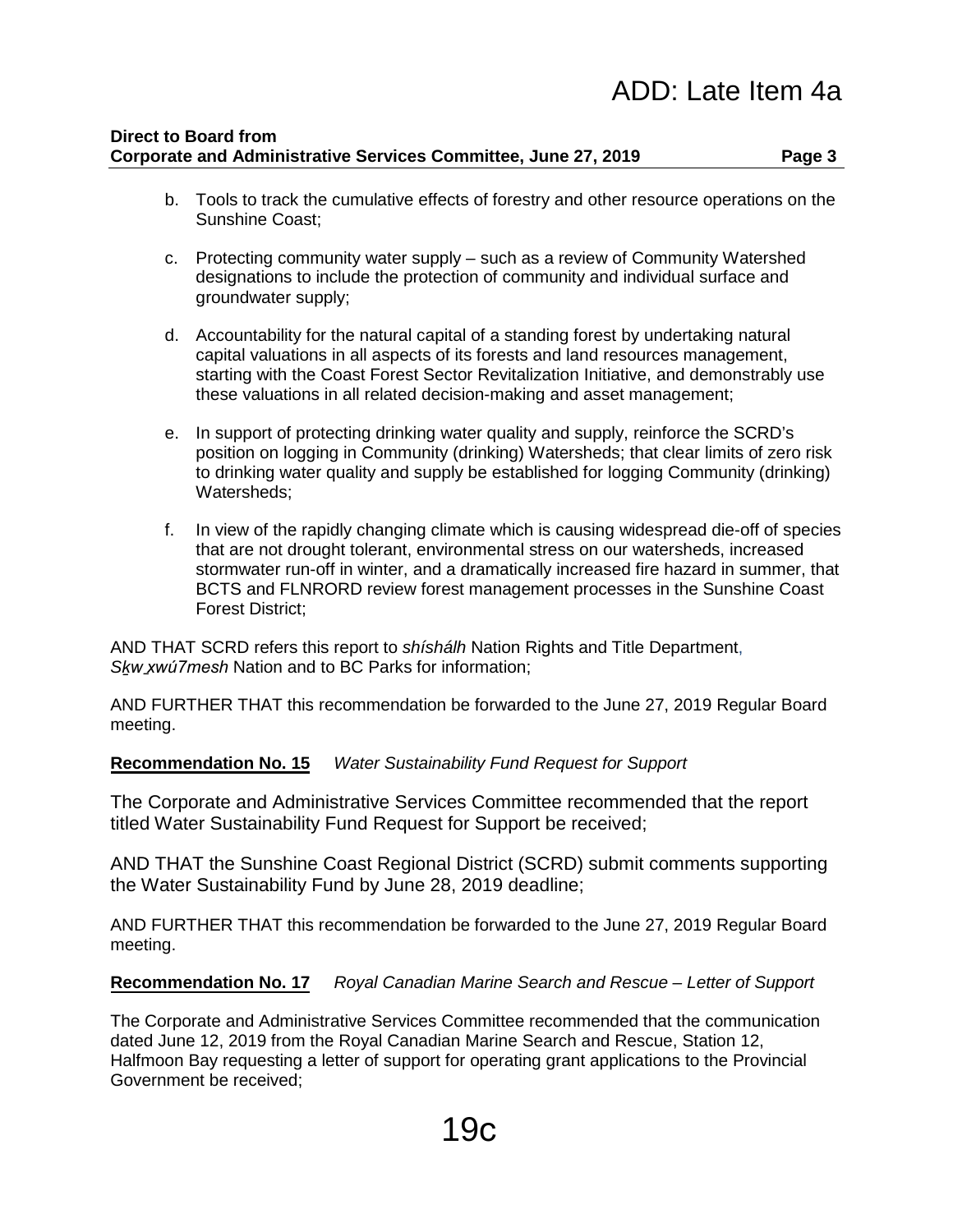- b. Tools to track the cumulative effects of forestry and other resource operations on the Sunshine Coast;
- c. Protecting community water supply such as a review of Community Watershed designations to include the protection of community and individual surface and groundwater supply;
- d. Accountability for the natural capital of a standing forest by undertaking natural capital valuations in all aspects of its forests and land resources management, starting with the Coast Forest Sector Revitalization Initiative, and demonstrably use these valuations in all related decision-making and asset management;
- e. In support of protecting drinking water quality and supply, reinforce the SCRD's position on logging in Community (drinking) Watersheds; that clear limits of zero risk to drinking water quality and supply be established for logging Community (drinking) Watersheds;
- f. In view of the rapidly changing climate which is causing widespread die-off of species that are not drought tolerant, environmental stress on our watersheds, increased stormwater run-off in winter, and a dramatically increased fire hazard in summer, that BCTS and FLNRORD review forest management processes in the Sunshine Coast Forest District;

AND THAT SCRD refers this report to *shíshálh* Nation Rights and Title Department, *Sḵw xwú7mesh ̱* Nation and to BC Parks for information;

AND FURTHER THAT this recommendation be forwarded to the June 27, 2019 Regular Board meeting.

### **Recommendation No. 15** *Water Sustainability Fund Request for Support*

The Corporate and Administrative Services Committee recommended that the report titled Water Sustainability Fund Request for Support be received;

AND THAT the Sunshine Coast Regional District (SCRD) submit comments supporting the Water Sustainability Fund by June 28, 2019 deadline;

AND FURTHER THAT this recommendation be forwarded to the June 27, 2019 Regular Board meeting.

**Recommendation No. 17** *Royal Canadian Marine Search and Rescue – Letter of Support*

The Corporate and Administrative Services Committee recommended that the communication dated June 12, 2019 from the Royal Canadian Marine Search and Rescue, Station 12, Halfmoon Bay requesting a letter of support for operating grant applications to the Provincial Government be received;